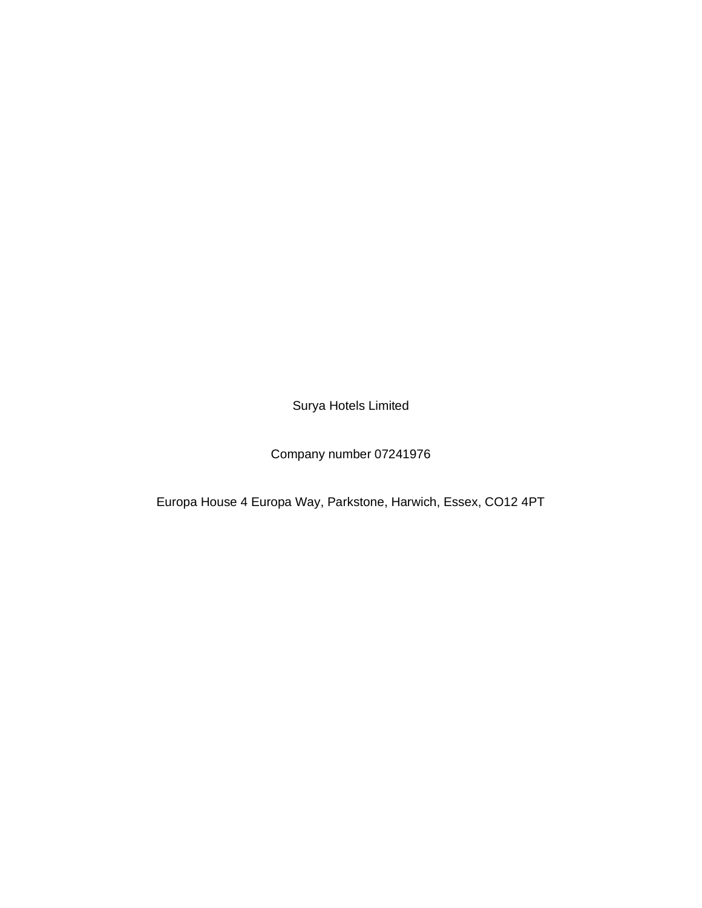Surya Hotels Limited

Company number 07241976

Europa House 4 Europa Way, Parkstone, Harwich, Essex, CO12 4PT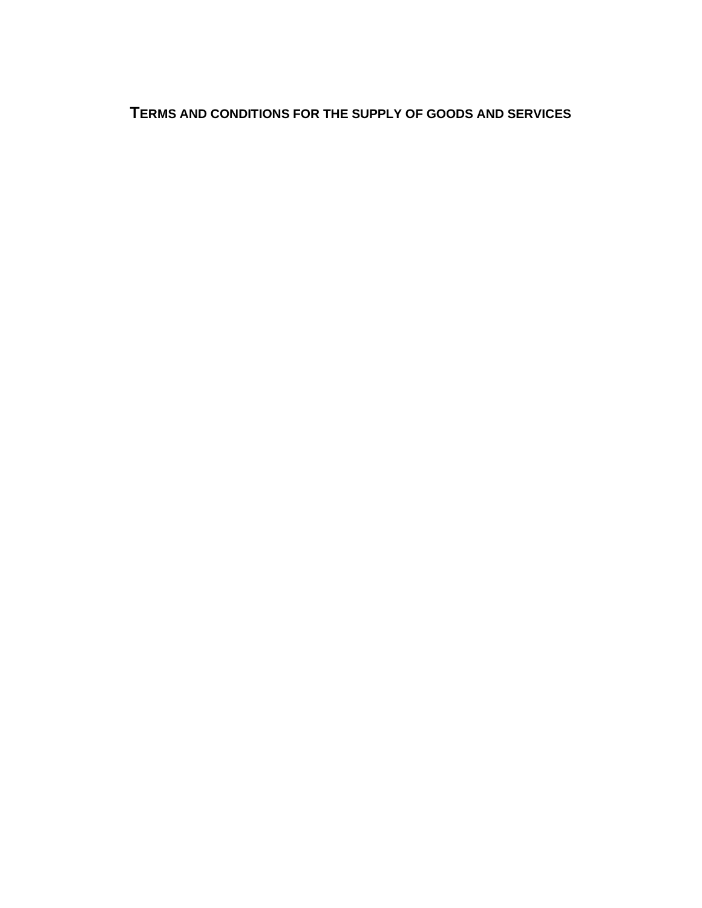**TERMS AND CONDITIONS FOR THE SUPPLY OF GOODS AND SERVICES**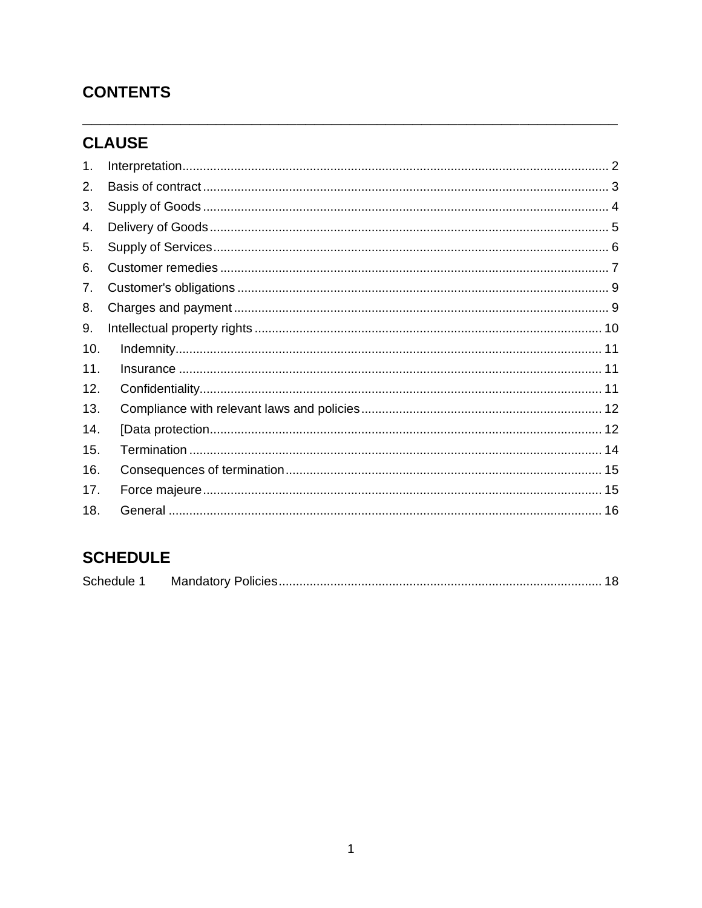# **CONTENTS**

## **CLAUSE**

| 1.  |  |
|-----|--|
| 2.  |  |
| 3.  |  |
| 4.  |  |
| 5.  |  |
| 6.  |  |
| 7.  |  |
| 8.  |  |
| 9.  |  |
| 10. |  |
| 11. |  |
| 12. |  |
| 13. |  |
| 14. |  |
| 15. |  |
| 16. |  |
| 17. |  |
| 18. |  |

## **SCHEDULE**

| Schedule |  |  |
|----------|--|--|
|          |  |  |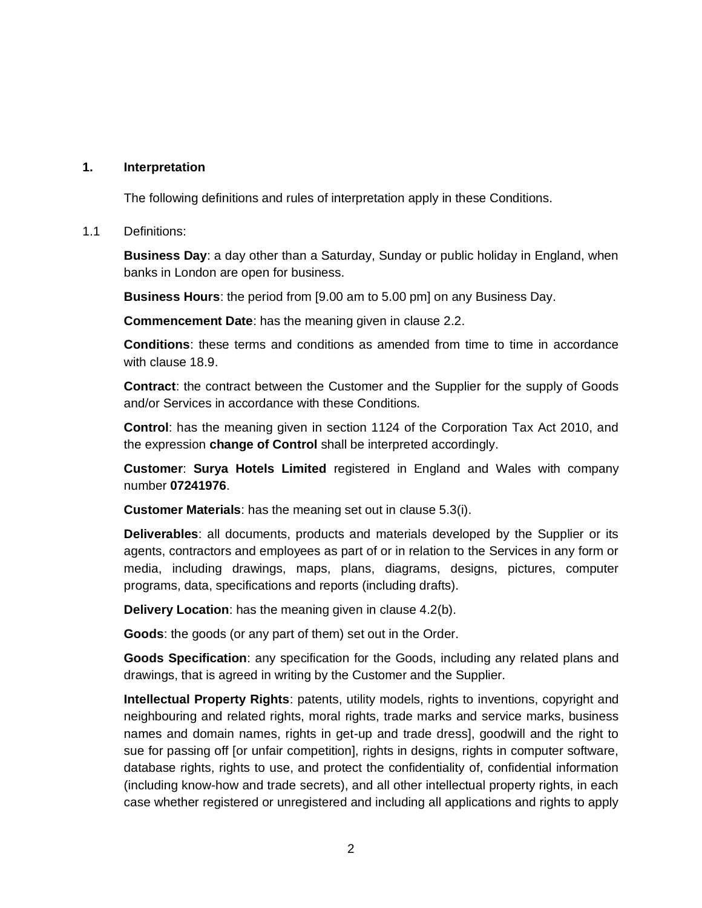## **1. Interpretation**

<span id="page-3-0"></span>The following definitions and rules of interpretation apply in these Conditions.

## 1.1 Definitions:

**Business Day**: a day other than a Saturday, Sunday or public holiday in England, when banks in London are open for business.

**Business Hours**: the period from [9.00 am to 5.00 pm] on any Business Day.

**Commencement Date**: has the meaning given in [clause 2.2.](#page-4-1)

**Conditions**: these terms and conditions as amended from time to time in accordance with [clause 18.9.](#page-18-0)

**Contract**: the contract between the Customer and the Supplier for the supply of Goods and/or Services in accordance with these Conditions.

**Control**: has the meaning given in section 1124 of the Corporation Tax Act 2010, and the expression **change of Control** shall be interpreted accordingly.

**Customer**: **Surya Hotels Limited** registered in England and Wales with company number **07241976**.

**Customer Materials**: has the meaning set out in [clause 5.3\(i\).](#page-8-1)

**Deliverables**: all documents, products and materials developed by the Supplier or its agents, contractors and employees as part of or in relation to the Services in any form or media, including drawings, maps, plans, diagrams, designs, pictures, computer programs, data, specifications and reports (including drafts).

**Delivery Location**: has the meaning given in [clause 4.2\(b\).](#page-6-1)

**Goods**: the goods (or any part of them) set out in the Order.

**Goods Specification**: any specification for the Goods, including any related plans and drawings, that is agreed in writing by the Customer and the Supplier.

**Intellectual Property Rights**: patents, utility models, rights to inventions, copyright and neighbouring and related rights, moral rights, trade marks and service marks, business names and domain names, rights in get-up and trade dress], goodwill and the right to sue for passing off [or unfair competition], rights in designs, rights in computer software, database rights, rights to use, and protect the confidentiality of, confidential information (including know-how and trade secrets), and all other intellectual property rights, in each case whether registered or unregistered and including all applications and rights to apply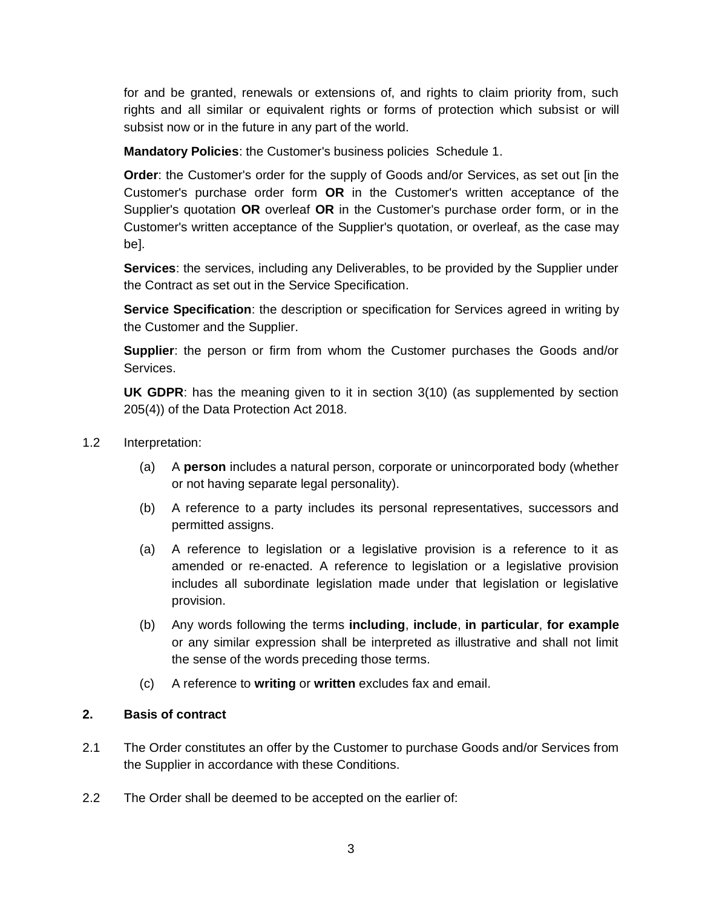for and be granted, renewals or extensions of, and rights to claim priority from, such rights and all similar or equivalent rights or forms of protection which subsist or will subsist now or in the future in any part of the world.

**Mandatory Policies**: the Customer's business policies [Schedule 1.](#page-19-0)

**Order**: the Customer's order for the supply of Goods and/or Services, as set out [in the Customer's purchase order form **OR** in the Customer's written acceptance of the Supplier's quotation **OR** overleaf **OR** in the Customer's purchase order form, or in the Customer's written acceptance of the Supplier's quotation, or overleaf, as the case may be].

**Services**: the services, including any Deliverables, to be provided by the Supplier under the Contract as set out in the Service Specification.

**Service Specification**: the description or specification for Services agreed in writing by the Customer and the Supplier.

**Supplier**: the person or firm from whom the Customer purchases the Goods and/or Services.

**UK GDPR**: has the meaning given to it in section 3(10) (as supplemented by section 205(4)) of the Data Protection Act 2018.

- 1.2 Interpretation:
	- (a) A **person** includes a natural person, corporate or unincorporated body (whether or not having separate legal personality).
	- (b) A reference to a party includes its personal representatives, successors and permitted assigns.
	- (a) A reference to legislation or a legislative provision is a reference to it as amended or re-enacted. A reference to legislation or a legislative provision includes all subordinate legislation made under that legislation or legislative provision.
	- (b) Any words following the terms **including**, **include**, **in particular**, **for example** or any similar expression shall be interpreted as illustrative and shall not limit the sense of the words preceding those terms.
	- (c) A reference to **writing** or **written** excludes fax and email.

## <span id="page-4-0"></span>**2. Basis of contract**

- 2.1 The Order constitutes an offer by the Customer to purchase Goods and/or Services from the Supplier in accordance with these Conditions.
- <span id="page-4-1"></span>2.2 The Order shall be deemed to be accepted on the earlier of: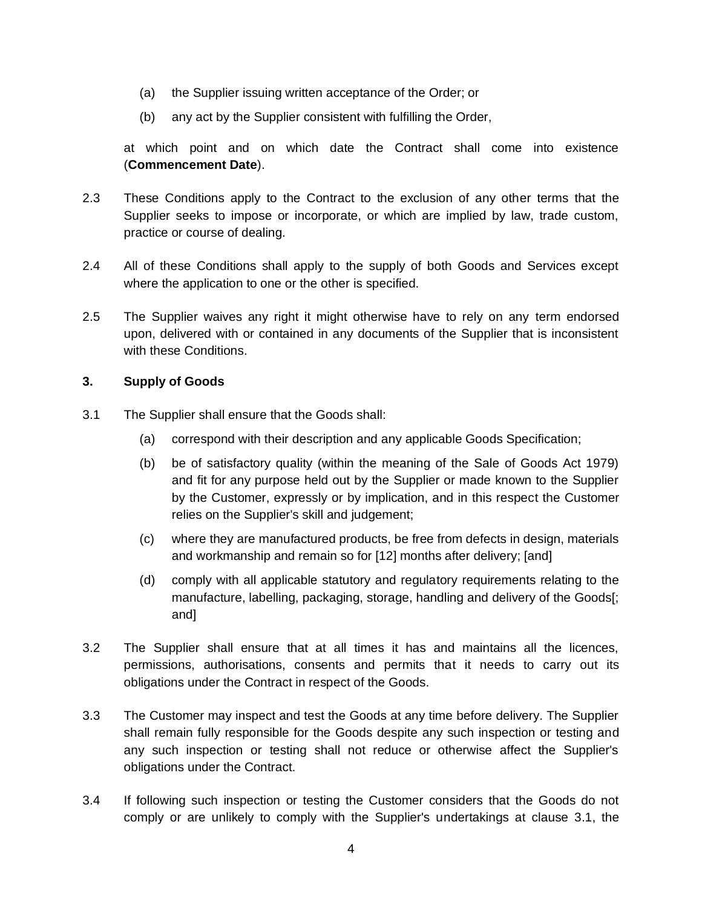- (a) the Supplier issuing written acceptance of the Order; or
- (b) any act by the Supplier consistent with fulfilling the Order,

at which point and on which date the Contract shall come into existence (**Commencement Date**).

- 2.3 These Conditions apply to the Contract to the exclusion of any other terms that the Supplier seeks to impose or incorporate, or which are implied by law, trade custom, practice or course of dealing.
- 2.4 All of these Conditions shall apply to the supply of both Goods and Services except where the application to one or the other is specified.
- <span id="page-5-2"></span>2.5 The Supplier waives any right it might otherwise have to rely on any term endorsed upon, delivered with or contained in any documents of the Supplier that is inconsistent with these Conditions.

## <span id="page-5-0"></span>**3. Supply of Goods**

- <span id="page-5-1"></span>3.1 The Supplier shall ensure that the Goods shall:
	- (a) correspond with their description and any applicable Goods Specification;
	- (b) be of satisfactory quality (within the meaning of the Sale of Goods Act 1979) and fit for any purpose held out by the Supplier or made known to the Supplier by the Customer, expressly or by implication, and in this respect the Customer relies on the Supplier's skill and judgement;
	- (c) where they are manufactured products, be free from defects in design, materials and workmanship and remain so for [12] months after delivery; [and]
	- (d) comply with all applicable statutory and regulatory requirements relating to the manufacture, labelling, packaging, storage, handling and delivery of the Goods[; and]
- 3.2 The Supplier shall ensure that at all times it has and maintains all the licences, permissions, authorisations, consents and permits that it needs to carry out its obligations under the Contract in respect of the Goods.
- 3.3 The Customer may inspect and test the Goods at any time before delivery. The Supplier shall remain fully responsible for the Goods despite any such inspection or testing and any such inspection or testing shall not reduce or otherwise affect the Supplier's obligations under the Contract.
- 3.4 If following such inspection or testing the Customer considers that the Goods do not comply or are unlikely to comply with the Supplier's undertakings at [clause 3.1,](#page-5-1) the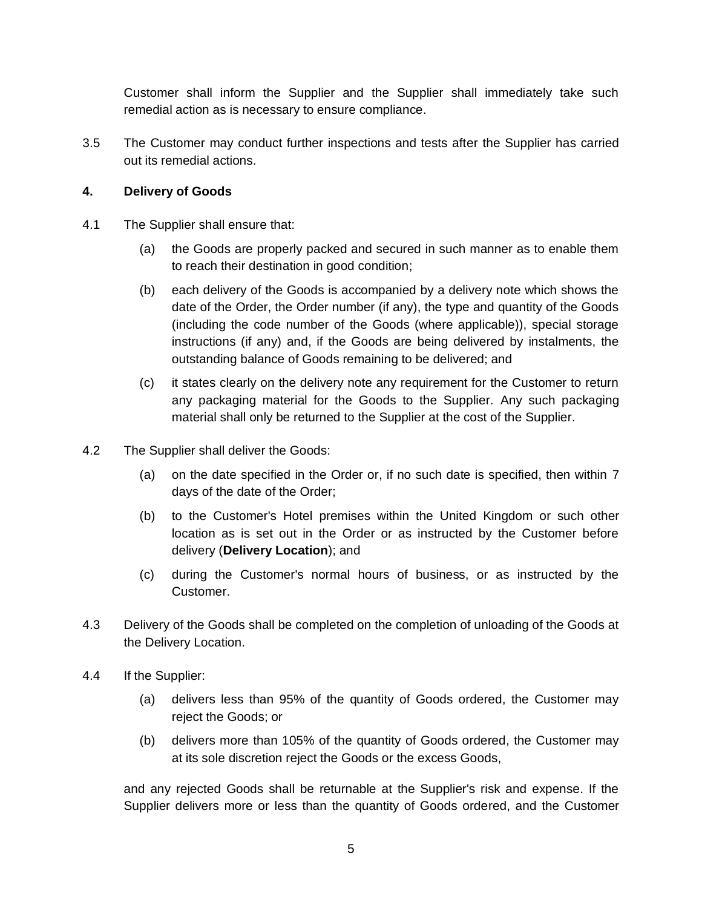Customer shall inform the Supplier and the Supplier shall immediately take such remedial action as is necessary to ensure compliance.

3.5 The Customer may conduct further inspections and tests after the Supplier has carried out its remedial actions.

## <span id="page-6-0"></span>**4. Delivery of Goods**

- 4.1 The Supplier shall ensure that:
	- (a) the Goods are properly packed and secured in such manner as to enable them to reach their destination in good condition;
	- (b) each delivery of the Goods is accompanied by a delivery note which shows the date of the Order, the Order number (if any), the type and quantity of the Goods (including the code number of the Goods (where applicable)), special storage instructions (if any) and, if the Goods are being delivered by instalments, the outstanding balance of Goods remaining to be delivered; and
	- (c) it states clearly on the delivery note any requirement for the Customer to return any packaging material for the Goods to the Supplier. Any such packaging material shall only be returned to the Supplier at the cost of the Supplier.
- <span id="page-6-1"></span>4.2 The Supplier shall deliver the Goods:
	- (a) on the date specified in the Order or, if no such date is specified, then within 7 days of the date of the Order;
	- (b) to the Customer's Hotel premises within the United Kingdom or such other location as is set out in the Order or as instructed by the Customer before delivery (**Delivery Location**); and
	- (c) during the Customer's normal hours of business, or as instructed by the Customer.
- 4.3 Delivery of the Goods shall be completed on the completion of unloading of the Goods at the Delivery Location.
- 4.4 If the Supplier:
	- (a) delivers less than 95% of the quantity of Goods ordered, the Customer may reject the Goods; or
	- (b) delivers more than 105% of the quantity of Goods ordered, the Customer may at its sole discretion reject the Goods or the excess Goods,

and any rejected Goods shall be returnable at the Supplier's risk and expense. If the Supplier delivers more or less than the quantity of Goods ordered, and the Customer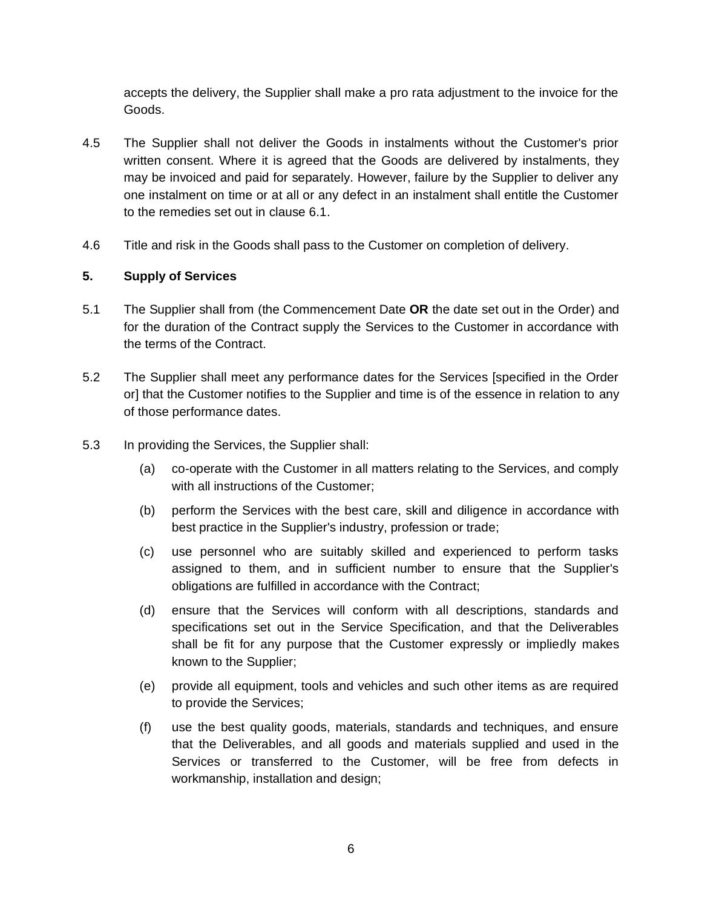accepts the delivery, the Supplier shall make a pro rata adjustment to the invoice for the Goods.

- 4.5 The Supplier shall not deliver the Goods in instalments without the Customer's prior written consent. Where it is agreed that the Goods are delivered by instalments, they may be invoiced and paid for separately. However, failure by the Supplier to deliver any one instalment on time or at all or any defect in an instalment shall entitle the Customer to the remedies set out in [clause 6.1.](#page-8-2)
- 4.6 Title and risk in the Goods shall pass to the Customer on completion of delivery.

## <span id="page-7-0"></span>**5. Supply of Services**

- 5.1 The Supplier shall from (the Commencement Date **OR** the date set out in the Order) and for the duration of the Contract supply the Services to the Customer in accordance with the terms of the Contract.
- 5.2 The Supplier shall meet any performance dates for the Services [specified in the Order or] that the Customer notifies to the Supplier and time is of the essence in relation to any of those performance dates.
- <span id="page-7-1"></span>5.3 In providing the Services, the Supplier shall:
	- (a) co-operate with the Customer in all matters relating to the Services, and comply with all instructions of the Customer;
	- (b) perform the Services with the best care, skill and diligence in accordance with best practice in the Supplier's industry, profession or trade;
	- (c) use personnel who are suitably skilled and experienced to perform tasks assigned to them, and in sufficient number to ensure that the Supplier's obligations are fulfilled in accordance with the Contract;
	- (d) ensure that the Services will conform with all descriptions, standards and specifications set out in the Service Specification, and that the Deliverables shall be fit for any purpose that the Customer expressly or impliedly makes known to the Supplier;
	- (e) provide all equipment, tools and vehicles and such other items as are required to provide the Services;
	- (f) use the best quality goods, materials, standards and techniques, and ensure that the Deliverables, and all goods and materials supplied and used in the Services or transferred to the Customer, will be free from defects in workmanship, installation and design;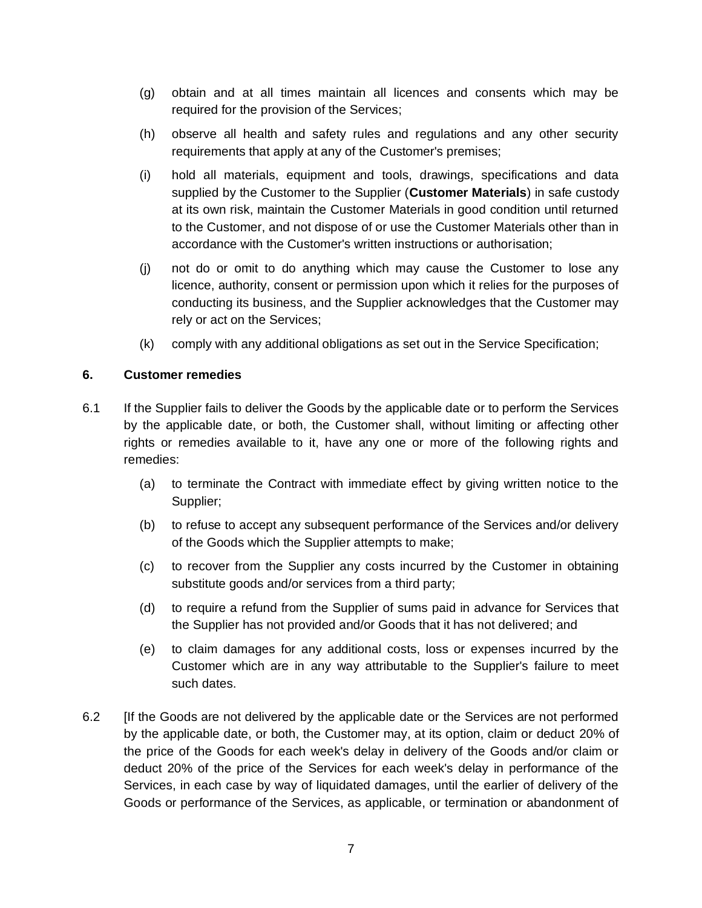- (g) obtain and at all times maintain all licences and consents which may be required for the provision of the Services;
- (h) observe all health and safety rules and regulations and any other security requirements that apply at any of the Customer's premises;
- <span id="page-8-1"></span>(i) hold all materials, equipment and tools, drawings, specifications and data supplied by the Customer to the Supplier (**Customer Materials**) in safe custody at its own risk, maintain the Customer Materials in good condition until returned to the Customer, and not dispose of or use the Customer Materials other than in accordance with the Customer's written instructions or authorisation;
- (j) not do or omit to do anything which may cause the Customer to lose any licence, authority, consent or permission upon which it relies for the purposes of conducting its business, and the Supplier acknowledges that the Customer may rely or act on the Services;
- <span id="page-8-0"></span>(k) comply with any additional obligations as set out in the Service Specification;

## **6. Customer remedies**

- <span id="page-8-2"></span>6.1 If the Supplier fails to deliver the Goods by the applicable date or to perform the Services by the applicable date, or both, the Customer shall, without limiting or affecting other rights or remedies available to it, have any one or more of the following rights and remedies:
	- (a) to terminate the Contract with immediate effect by giving written notice to the Supplier;
	- (b) to refuse to accept any subsequent performance of the Services and/or delivery of the Goods which the Supplier attempts to make;
	- (c) to recover from the Supplier any costs incurred by the Customer in obtaining substitute goods and/or services from a third party;
	- (d) to require a refund from the Supplier of sums paid in advance for Services that the Supplier has not provided and/or Goods that it has not delivered; and
	- (e) to claim damages for any additional costs, loss or expenses incurred by the Customer which are in any way attributable to the Supplier's failure to meet such dates.
- <span id="page-8-3"></span>6.2 [If the Goods are not delivered by the applicable date or the Services are not performed by the applicable date, or both, the Customer may, at its option, claim or deduct 20% of the price of the Goods for each week's delay in delivery of the Goods and/or claim or deduct 20% of the price of the Services for each week's delay in performance of the Services, in each case by way of liquidated damages, until the earlier of delivery of the Goods or performance of the Services, as applicable, or termination or abandonment of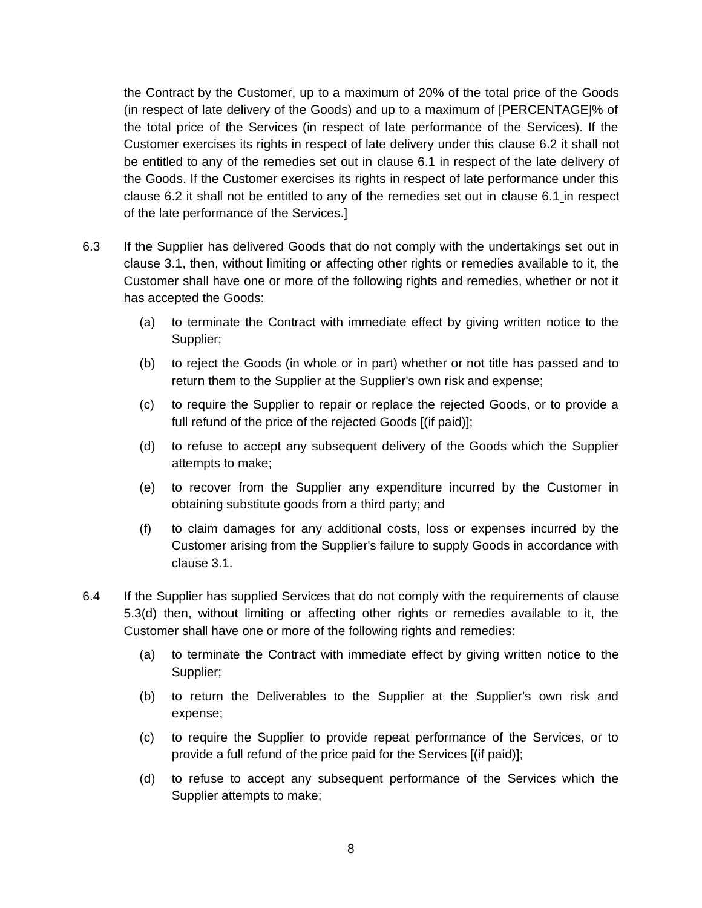the Contract by the Customer, up to a maximum of 20% of the total price of the Goods (in respect of late delivery of the Goods) and up to a maximum of [PERCENTAGE]% of the total price of the Services (in respect of late performance of the Services). If the Customer exercises its rights in respect of late delivery under this [clause 6.2](#page-8-3) it shall not be entitled to any of the remedies set out in [clause 6.1](#page-8-2) in respect of the late delivery of the Goods. If the Customer exercises its rights in respect of late performance under this [clause 6.2](#page-8-3) it shall not be entitled to any of the remedies set out in [clause 6.1](#page-8-2) in respect of the late performance of the Services.]

- 6.3 If the Supplier has delivered Goods that do not comply with the undertakings set out in [clause 3.1,](#page-5-1) then, without limiting or affecting other rights or remedies available to it, the Customer shall have one or more of the following rights and remedies, whether or not it has accepted the Goods:
	- (a) to terminate the Contract with immediate effect by giving written notice to the Supplier;
	- (b) to reject the Goods (in whole or in part) whether or not title has passed and to return them to the Supplier at the Supplier's own risk and expense;
	- (c) to require the Supplier to repair or replace the rejected Goods, or to provide a full refund of the price of the rejected Goods [(if paid)];
	- (d) to refuse to accept any subsequent delivery of the Goods which the Supplier attempts to make;
	- (e) to recover from the Supplier any expenditure incurred by the Customer in obtaining substitute goods from a third party; and
	- (f) to claim damages for any additional costs, loss or expenses incurred by the Customer arising from the Supplier's failure to supply Goods in accordance with [clause 3.1.](#page-5-1)
- 6.4 If the Supplier has supplied Services that do not comply with the requirements of [clause](#page-7-1)  [5.3\(d\)](#page-7-1) then, without limiting or affecting other rights or remedies available to it, the Customer shall have one or more of the following rights and remedies:
	- (a) to terminate the Contract with immediate effect by giving written notice to the Supplier;
	- (b) to return the Deliverables to the Supplier at the Supplier's own risk and expense;
	- (c) to require the Supplier to provide repeat performance of the Services, or to provide a full refund of the price paid for the Services [(if paid)];
	- (d) to refuse to accept any subsequent performance of the Services which the Supplier attempts to make;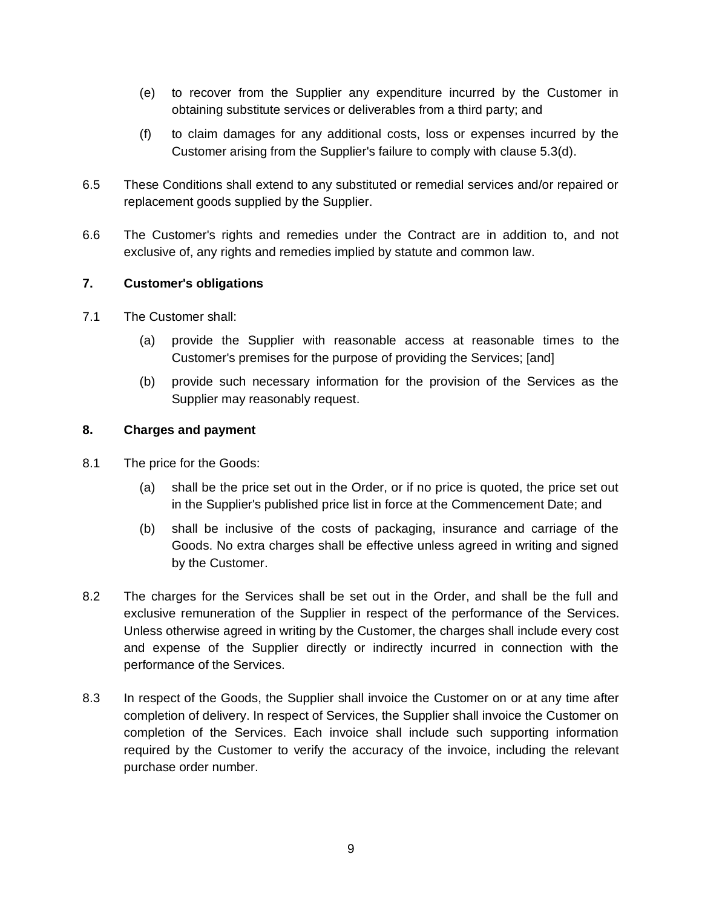- (e) to recover from the Supplier any expenditure incurred by the Customer in obtaining substitute services or deliverables from a third party; and
- (f) to claim damages for any additional costs, loss or expenses incurred by the Customer arising from the Supplier's failure to comply with [clause 5.3\(d\).](#page-7-1)
- 6.5 These Conditions shall extend to any substituted or remedial services and/or repaired or replacement goods supplied by the Supplier.
- 6.6 The Customer's rights and remedies under the Contract are in addition to, and not exclusive of, any rights and remedies implied by statute and common law.

## <span id="page-10-0"></span>**7. Customer's obligations**

- 7.1 The Customer shall:
	- (a) provide the Supplier with reasonable access at reasonable times to the Customer's premises for the purpose of providing the Services; [and]
	- (b) provide such necessary information for the provision of the Services as the Supplier may reasonably request.

## <span id="page-10-1"></span>**8. Charges and payment**

- 8.1 The price for the Goods:
	- (a) shall be the price set out in the Order, or if no price is quoted, the price set out in the Supplier's published price list in force at the Commencement Date; and
	- (b) shall be inclusive of the costs of packaging, insurance and carriage of the Goods. No extra charges shall be effective unless agreed in writing and signed by the Customer.
- 8.2 The charges for the Services shall be set out in the Order, and shall be the full and exclusive remuneration of the Supplier in respect of the performance of the Services. Unless otherwise agreed in writing by the Customer, the charges shall include every cost and expense of the Supplier directly or indirectly incurred in connection with the performance of the Services.
- 8.3 In respect of the Goods, the Supplier shall invoice the Customer on or at any time after completion of delivery. In respect of Services, the Supplier shall invoice the Customer on completion of the Services. Each invoice shall include such supporting information required by the Customer to verify the accuracy of the invoice, including the relevant purchase order number.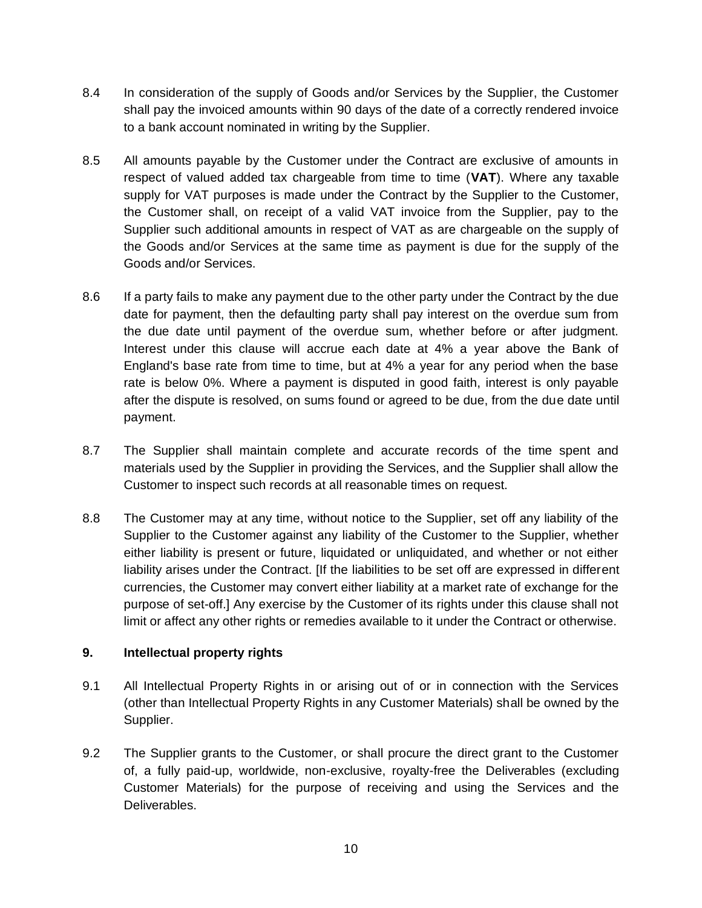- 8.4 In consideration of the supply of Goods and/or Services by the Supplier, the Customer shall pay the invoiced amounts within 90 days of the date of a correctly rendered invoice to a bank account nominated in writing by the Supplier.
- 8.5 All amounts payable by the Customer under the Contract are exclusive of amounts in respect of valued added tax chargeable from time to time (**VAT**). Where any taxable supply for VAT purposes is made under the Contract by the Supplier to the Customer, the Customer shall, on receipt of a valid VAT invoice from the Supplier, pay to the Supplier such additional amounts in respect of VAT as are chargeable on the supply of the Goods and/or Services at the same time as payment is due for the supply of the Goods and/or Services.
- 8.6 If a party fails to make any payment due to the other party under the Contract by the due date for payment, then the defaulting party shall pay interest on the overdue sum from the due date until payment of the overdue sum, whether before or after judgment. Interest under this clause will accrue each date at 4% a year above the Bank of England's base rate from time to time, but at 4% a year for any period when the base rate is below 0%. Where a payment is disputed in good faith, interest is only payable after the dispute is resolved, on sums found or agreed to be due, from the due date until payment.
- 8.7 The Supplier shall maintain complete and accurate records of the time spent and materials used by the Supplier in providing the Services, and the Supplier shall allow the Customer to inspect such records at all reasonable times on request.
- 8.8 The Customer may at any time, without notice to the Supplier, set off any liability of the Supplier to the Customer against any liability of the Customer to the Supplier, whether either liability is present or future, liquidated or unliquidated, and whether or not either liability arises under the Contract. [If the liabilities to be set off are expressed in different currencies, the Customer may convert either liability at a market rate of exchange for the purpose of set-off.] Any exercise by the Customer of its rights under this clause shall not limit or affect any other rights or remedies available to it under the Contract or otherwise.

## <span id="page-11-0"></span>**9. Intellectual property rights**

- 9.1 All Intellectual Property Rights in or arising out of or in connection with the Services (other than Intellectual Property Rights in any Customer Materials) shall be owned by the Supplier.
- 9.2 The Supplier grants to the Customer, or shall procure the direct grant to the Customer of, a fully paid-up, worldwide, non-exclusive, royalty-free the Deliverables (excluding Customer Materials) for the purpose of receiving and using the Services and the Deliverables.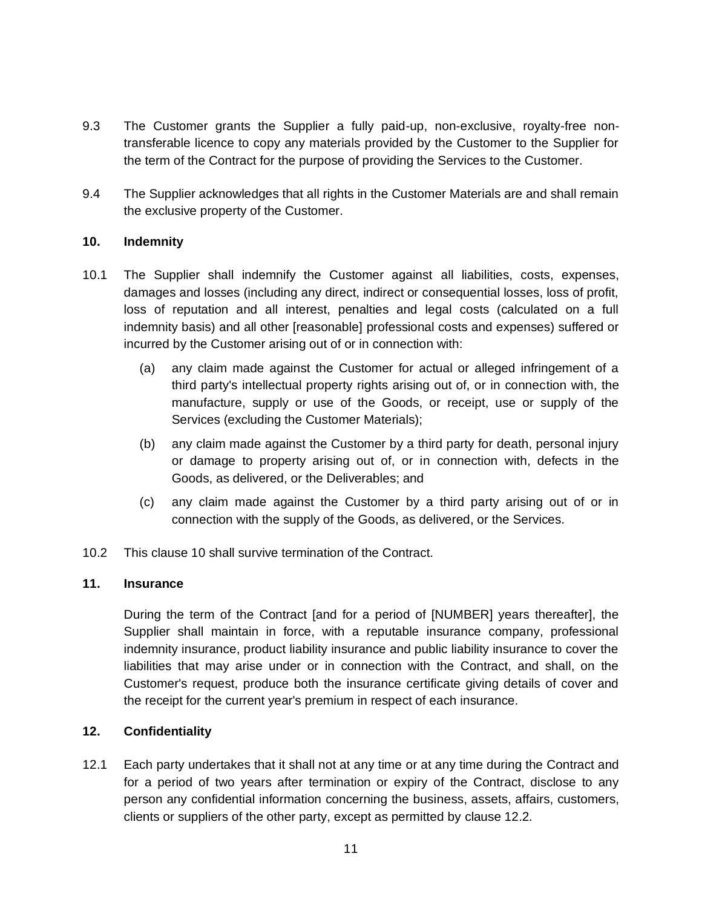- 9.3 The Customer grants the Supplier a fully paid-up, non-exclusive, royalty-free nontransferable licence to copy any materials provided by the Customer to the Supplier for the term of the Contract for the purpose of providing the Services to the Customer.
- 9.4 The Supplier acknowledges that all rights in the Customer Materials are and shall remain the exclusive property of the Customer.

## <span id="page-12-0"></span>**10. Indemnity**

- 10.1 The Supplier shall indemnify the Customer against all liabilities, costs, expenses, damages and losses (including any direct, indirect or consequential losses, loss of profit, loss of reputation and all interest, penalties and legal costs (calculated on a full indemnity basis) and all other [reasonable] professional costs and expenses) suffered or incurred by the Customer arising out of or in connection with:
	- (a) any claim made against the Customer for actual or alleged infringement of a third party's intellectual property rights arising out of, or in connection with, the manufacture, supply or use of the Goods, or receipt, use or supply of the Services (excluding the Customer Materials);
	- (b) any claim made against the Customer by a third party for death, personal injury or damage to property arising out of, or in connection with, defects in the Goods, as delivered, or the Deliverables; and
	- (c) any claim made against the Customer by a third party arising out of or in connection with the supply of the Goods, as delivered, or the Services.
- 10.2 This [clause 10](#page-12-0) shall survive termination of the Contract.

## <span id="page-12-1"></span>**11. Insurance**

During the term of the Contract [and for a period of [NUMBER] years thereafter], the Supplier shall maintain in force, with a reputable insurance company, professional indemnity insurance, product liability insurance and public liability insurance to cover the liabilities that may arise under or in connection with the Contract, and shall, on the Customer's request, produce both the insurance certificate giving details of cover and the receipt for the current year's premium in respect of each insurance.

## <span id="page-12-2"></span>**12. Confidentiality**

12.1 Each party undertakes that it shall not at any time or at any time during the Contract and for a period of two years after termination or expiry of the Contract, disclose to any person any confidential information concerning the business, assets, affairs, customers, clients or suppliers of the other party, except as permitted by [clause 12.2](#page-13-2)*.*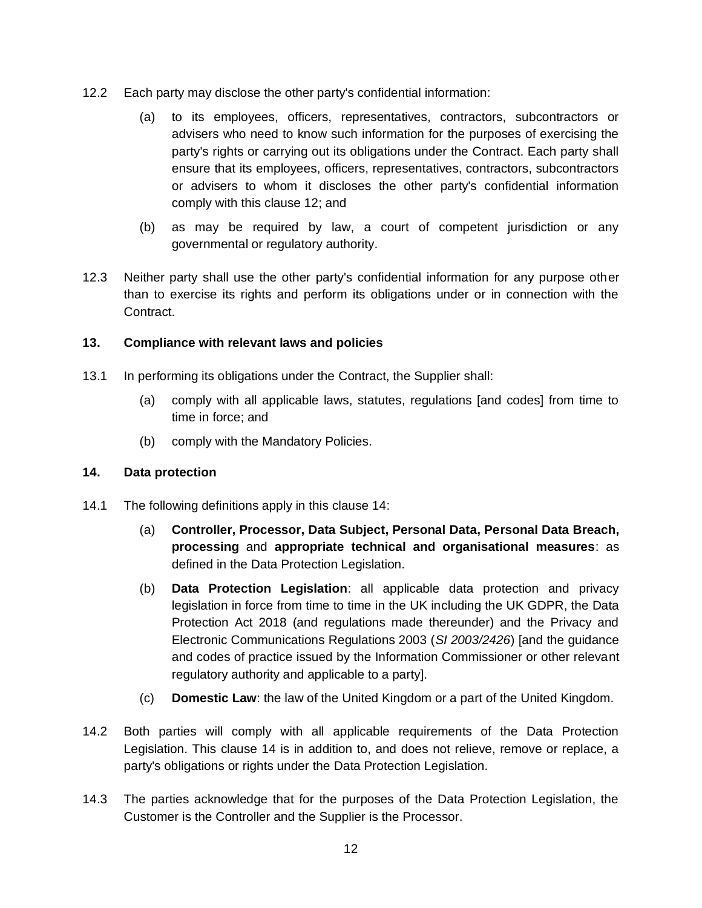- <span id="page-13-2"></span>12.2 Each party may disclose the other party's confidential information:
	- (a) to its employees, officers, representatives, contractors, subcontractors or advisers who need to know such information for the purposes of exercising the party's rights or carrying out its obligations under the Contract. Each party shall ensure that its employees, officers, representatives, contractors, subcontractors or advisers to whom it discloses the other party's confidential information comply with this [clause 12;](#page-12-2) and
	- (b) as may be required by law, a court of competent jurisdiction or any governmental or regulatory authority.
- 12.3 Neither party shall use the other party's confidential information for any purpose other than to exercise its rights and perform its obligations under or in connection with the Contract.

## <span id="page-13-0"></span>**13. Compliance with relevant laws and policies**

- 13.1 In performing its obligations under the Contract, the Supplier shall:
	- (a) comply with all applicable laws, statutes, regulations [and codes] from time to time in force; and
	- (b) comply with the Mandatory Policies.

## <span id="page-13-1"></span>**14. Data protection**

- 14.1 The following definitions apply in this [clause 14:](#page-13-1)
	- (a) **Controller, Processor, Data Subject, Personal Data, Personal Data Breach, processing** and **appropriate technical and organisational measures**: as defined in the Data Protection Legislation.
	- (b) **Data Protection Legislation**: all applicable data protection and privacy legislation in force from time to time in the UK including the UK GDPR, the Data Protection Act 2018 (and regulations made thereunder) and the Privacy and Electronic Communications Regulations 2003 (*SI 2003/2426*) [and the guidance and codes of practice issued by the Information Commissioner or other relevant regulatory authority and applicable to a party].
	- (c) **Domestic Law**: the law of the United Kingdom or a part of the United Kingdom.
- <span id="page-13-3"></span>14.2 Both parties will comply with all applicable requirements of the Data Protection Legislation. This [clause 14](#page-13-1) is in addition to, and does not relieve, remove or replace, a party's obligations or rights under the Data Protection Legislation.
- 14.3 The parties acknowledge that for the purposes of the Data Protection Legislation, the Customer is the Controller and the Supplier is the Processor.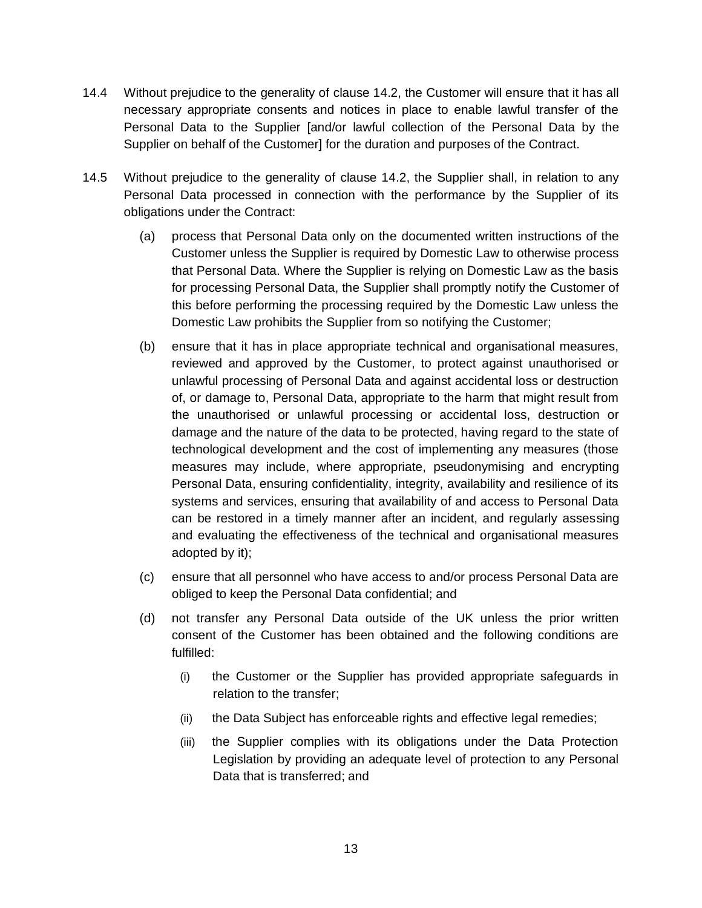- 14.4 Without prejudice to the generality of [clause 14.2,](#page-13-3) the Customer will ensure that it has all necessary appropriate consents and notices in place to enable lawful transfer of the Personal Data to the Supplier [and/or lawful collection of the Personal Data by the Supplier on behalf of the Customer] for the duration and purposes of the Contract.
- 14.5 Without prejudice to the generality of [clause 14.2,](#page-13-3) the Supplier shall, in relation to any Personal Data processed in connection with the performance by the Supplier of its obligations under the Contract:
	- (a) process that Personal Data only on the documented written instructions of the Customer unless the Supplier is required by Domestic Law to otherwise process that Personal Data. Where the Supplier is relying on Domestic Law as the basis for processing Personal Data, the Supplier shall promptly notify the Customer of this before performing the processing required by the Domestic Law unless the Domestic Law prohibits the Supplier from so notifying the Customer;
	- (b) ensure that it has in place appropriate technical and organisational measures, reviewed and approved by the Customer, to protect against unauthorised or unlawful processing of Personal Data and against accidental loss or destruction of, or damage to, Personal Data, appropriate to the harm that might result from the unauthorised or unlawful processing or accidental loss, destruction or damage and the nature of the data to be protected, having regard to the state of technological development and the cost of implementing any measures (those measures may include, where appropriate, pseudonymising and encrypting Personal Data, ensuring confidentiality, integrity, availability and resilience of its systems and services, ensuring that availability of and access to Personal Data can be restored in a timely manner after an incident, and regularly assessing and evaluating the effectiveness of the technical and organisational measures adopted by it);
	- (c) ensure that all personnel who have access to and/or process Personal Data are obliged to keep the Personal Data confidential; and
	- (d) not transfer any Personal Data outside of the UK unless the prior written consent of the Customer has been obtained and the following conditions are fulfilled:
		- (i) the Customer or the Supplier has provided appropriate safeguards in relation to the transfer;
		- (ii) the Data Subject has enforceable rights and effective legal remedies;
		- (iii) the Supplier complies with its obligations under the Data Protection Legislation by providing an adequate level of protection to any Personal Data that is transferred; and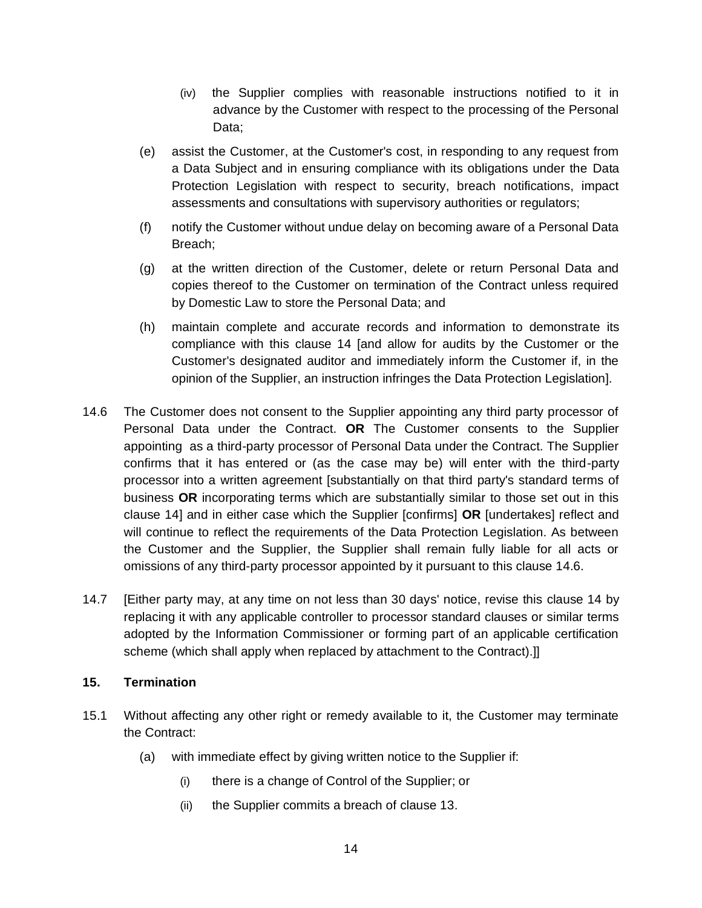- (iv) the Supplier complies with reasonable instructions notified to it in advance by the Customer with respect to the processing of the Personal Data;
- (e) assist the Customer, at the Customer's cost, in responding to any request from a Data Subject and in ensuring compliance with its obligations under the Data Protection Legislation with respect to security, breach notifications, impact assessments and consultations with supervisory authorities or regulators;
- (f) notify the Customer without undue delay on becoming aware of a Personal Data Breach;
- (g) at the written direction of the Customer, delete or return Personal Data and copies thereof to the Customer on termination of the Contract unless required by Domestic Law to store the Personal Data; and
- (h) maintain complete and accurate records and information to demonstrate its compliance with this [clause 14](#page-13-1) [and allow for audits by the Customer or the Customer's designated auditor and immediately inform the Customer if, in the opinion of the Supplier, an instruction infringes the Data Protection Legislation].
- <span id="page-15-1"></span>14.6 The Customer does not consent to the Supplier appointing any third party processor of Personal Data under the Contract. **OR** The Customer consents to the Supplier appointing as a third-party processor of Personal Data under the Contract. The Supplier confirms that it has entered or (as the case may be) will enter with the third-party processor into a written agreement [substantially on that third party's standard terms of business **OR** incorporating terms which are substantially similar to those set out in this [clause 14\]](#page-13-1) and in either case which the Supplier [confirms] **OR** [undertakes] reflect and will continue to reflect the requirements of the Data Protection Legislation. As between the Customer and the Supplier, the Supplier shall remain fully liable for all acts or omissions of any third-party processor appointed by it pursuant to this [clause 14.6.](#page-15-1)
- 14.7 [Either party may, at any time on not less than 30 days' notice, revise this [clause 14](#page-13-1) by replacing it with any applicable controller to processor standard clauses or similar terms adopted by the Information Commissioner or forming part of an applicable certification scheme (which shall apply when replaced by attachment to the Contract).]]

#### <span id="page-15-0"></span>**15. Termination**

- 15.1 Without affecting any other right or remedy available to it, the Customer may terminate the Contract:
	- (a) with immediate effect by giving written notice to the Supplier if:
		- (i) there is a change of Control of the Supplier; or
		- (ii) the Supplier commits a breach of [clause 13.](#page-13-0)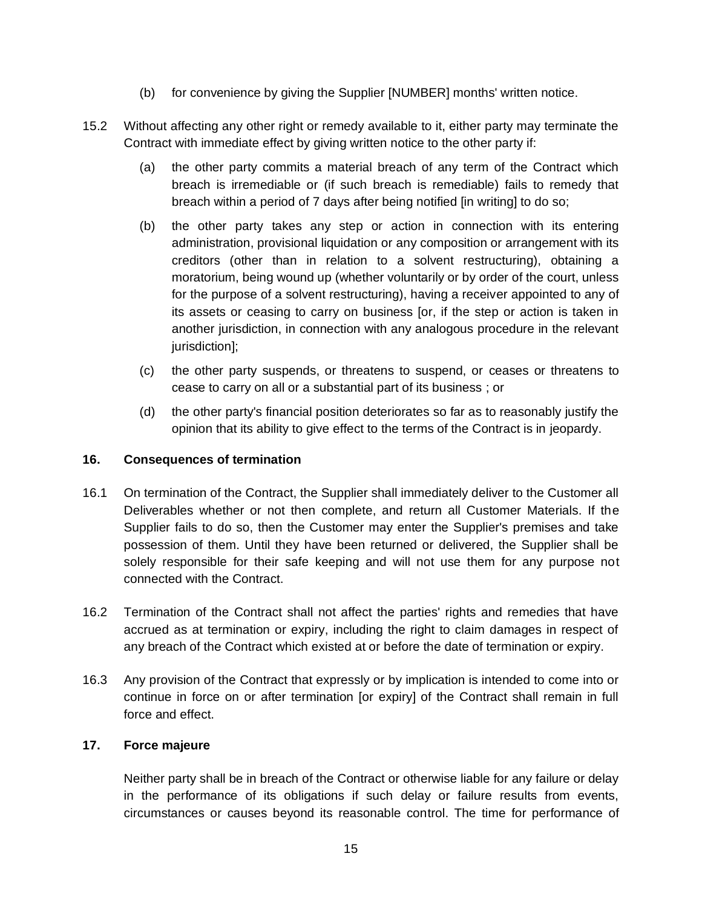- (b) for convenience by giving the Supplier [NUMBER] months' written notice.
- 15.2 Without affecting any other right or remedy available to it, either party may terminate the Contract with immediate effect by giving written notice to the other party if:
	- (a) the other party commits a material breach of any term of the Contract which breach is irremediable or (if such breach is remediable) fails to remedy that breach within a period of 7 days after being notified [in writing] to do so;
	- (b) the other party takes any step or action in connection with its entering administration, provisional liquidation or any composition or arrangement with its creditors (other than in relation to a solvent restructuring), obtaining a moratorium, being wound up (whether voluntarily or by order of the court, unless for the purpose of a solvent restructuring), having a receiver appointed to any of its assets or ceasing to carry on business [or, if the step or action is taken in another jurisdiction, in connection with any analogous procedure in the relevant jurisdiction];
	- (c) the other party suspends, or threatens to suspend, or ceases or threatens to cease to carry on all or a substantial part of its business ; or
	- (d) the other party's financial position deteriorates so far as to reasonably justify the opinion that its ability to give effect to the terms of the Contract is in jeopardy.

## <span id="page-16-0"></span>**16. Consequences of termination**

- 16.1 On termination of the Contract, the Supplier shall immediately deliver to the Customer all Deliverables whether or not then complete, and return all Customer Materials. If the Supplier fails to do so, then the Customer may enter the Supplier's premises and take possession of them. Until they have been returned or delivered, the Supplier shall be solely responsible for their safe keeping and will not use them for any purpose not connected with the Contract.
- 16.2 Termination of the Contract shall not affect the parties' rights and remedies that have accrued as at termination or expiry, including the right to claim damages in respect of any breach of the Contract which existed at or before the date of termination or expiry.
- 16.3 Any provision of the Contract that expressly or by implication is intended to come into or continue in force on or after termination [or expiry] of the Contract shall remain in full force and effect.

## <span id="page-16-1"></span>**17. Force majeure**

Neither party shall be in breach of the Contract or otherwise liable for any failure or delay in the performance of its obligations if such delay or failure results from events, circumstances or causes beyond its reasonable control. The time for performance of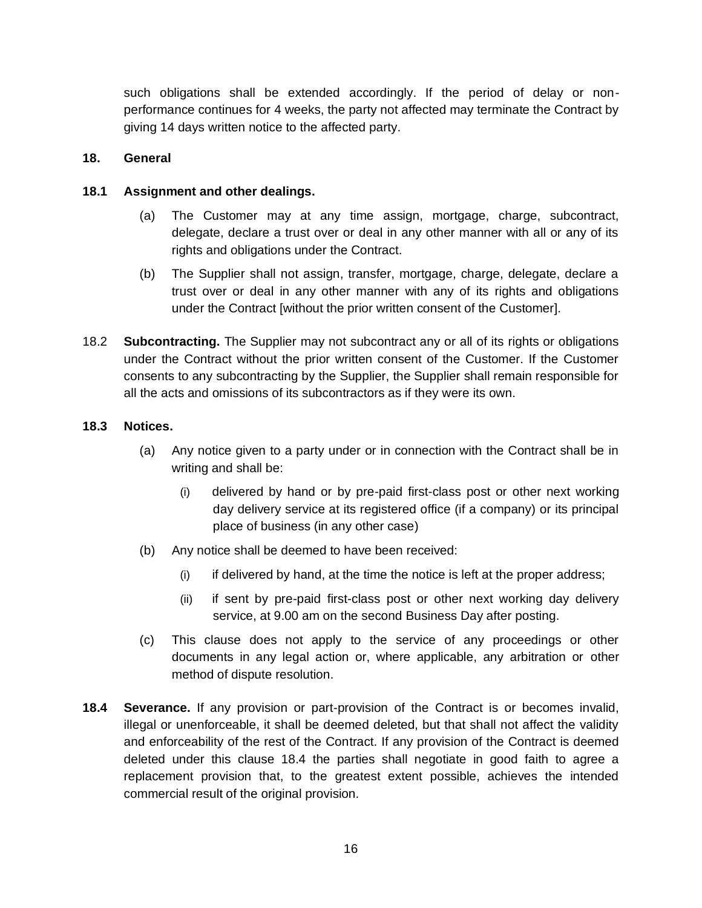such obligations shall be extended accordingly. If the period of delay or nonperformance continues for 4 weeks, the party not affected may terminate the Contract by giving 14 days written notice to the affected party.

#### <span id="page-17-0"></span>**18. General**

## **18.1 Assignment and other dealings.**

- (a) The Customer may at any time assign, mortgage, charge, subcontract, delegate, declare a trust over or deal in any other manner with all or any of its rights and obligations under the Contract.
- (b) The Supplier shall not assign, transfer, mortgage, charge, delegate, declare a trust over or deal in any other manner with any of its rights and obligations under the Contract [without the prior written consent of the Customer].
- 18.2 **Subcontracting.** The Supplier may not subcontract any or all of its rights or obligations under the Contract without the prior written consent of the Customer. If the Customer consents to any subcontracting by the Supplier, the Supplier shall remain responsible for all the acts and omissions of its subcontractors as if they were its own.

## **18.3 Notices.**

- (a) Any notice given to a party under or in connection with the Contract shall be in writing and shall be:
	- (i) delivered by hand or by pre-paid first-class post or other next working day delivery service at its registered office (if a company) or its principal place of business (in any other case)
- (b) Any notice shall be deemed to have been received:
	- (i) if delivered by hand, at the time the notice is left at the proper address;
	- (ii) if sent by pre-paid first-class post or other next working day delivery service, at 9.00 am on the second Business Day after posting.
- (c) This clause does not apply to the service of any proceedings or other documents in any legal action or, where applicable, any arbitration or other method of dispute resolution.
- <span id="page-17-1"></span>**18.4 Severance.** If any provision or part-provision of the Contract is or becomes invalid, illegal or unenforceable, it shall be deemed deleted, but that shall not affect the validity and enforceability of the rest of the Contract. If any provision of the Contract is deemed deleted under this [clause 18.4](#page-17-1) the parties shall negotiate in good faith to agree a replacement provision that, to the greatest extent possible, achieves the intended commercial result of the original provision.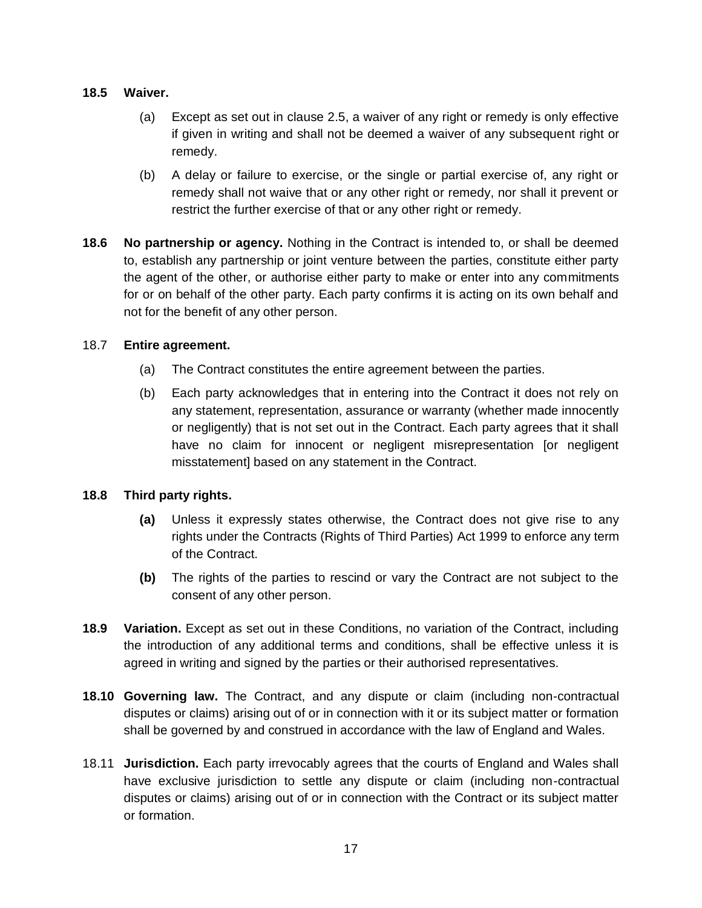## **18.5 Waiver.**

- (a) Except as set out in [clause 2.5,](#page-5-2) a waiver of any right or remedy is only effective if given in writing and shall not be deemed a waiver of any subsequent right or remedy.
- (b) A delay or failure to exercise, or the single or partial exercise of, any right or remedy shall not waive that or any other right or remedy, nor shall it prevent or restrict the further exercise of that or any other right or remedy.
- **18.6 No partnership or agency.** Nothing in the Contract is intended to, or shall be deemed to, establish any partnership or joint venture between the parties, constitute either party the agent of the other, or authorise either party to make or enter into any commitments for or on behalf of the other party. Each party confirms it is acting on its own behalf and not for the benefit of any other person.

## 18.7 **Entire agreement.**

- (a) The Contract constitutes the entire agreement between the parties.
- (b) Each party acknowledges that in entering into the Contract it does not rely on any statement, representation, assurance or warranty (whether made innocently or negligently) that is not set out in the Contract. Each party agrees that it shall have no claim for innocent or negligent misrepresentation [or negligent misstatement] based on any statement in the Contract.

## **18.8 Third party rights.**

- **(a)** Unless it expressly states otherwise, the Contract does not give rise to any rights under the Contracts (Rights of Third Parties) Act 1999 to enforce any term of the Contract.
- **(b)** The rights of the parties to rescind or vary the Contract are not subject to the consent of any other person.
- <span id="page-18-0"></span>**18.9 Variation.** Except as set out in these Conditions, no variation of the Contract, including the introduction of any additional terms and conditions, shall be effective unless it is agreed in writing and signed by the parties or their authorised representatives.
- **18.10 Governing law.** The Contract, and any dispute or claim (including non-contractual disputes or claims) arising out of or in connection with it or its subject matter or formation shall be governed by and construed in accordance with the law of England and Wales.
- 18.11 **Jurisdiction.** Each party irrevocably agrees that the courts of England and Wales shall have exclusive jurisdiction to settle any dispute or claim (including non-contractual disputes or claims) arising out of or in connection with the Contract or its subject matter or formation.